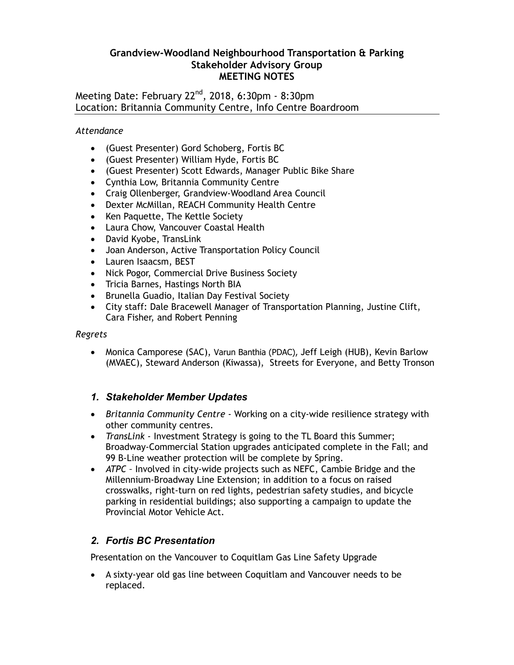### **Grandview-Woodland Neighbourhood Transportation & Parking Stakeholder Advisory Group MEETING NOTES**

Meeting Date: February 22<sup>nd</sup>, 2018, 6:30pm - 8:30pm Location: Britannia Community Centre, Info Centre Boardroom

*Attendance*

- (Guest Presenter) Gord Schoberg, Fortis BC
- (Guest Presenter) William Hyde, Fortis BC
- (Guest Presenter) Scott Edwards, Manager Public Bike Share
- Cynthia Low, Britannia Community Centre
- Craig Ollenberger, Grandview-Woodland Area Council
- Dexter McMillan, REACH Community Health Centre
- Ken Paquette, The Kettle Society
- Laura Chow, Vancouver Coastal Health
- David Kyobe, TransLink
- Joan Anderson, Active Transportation Policy Council
- Lauren Isaacsm, BEST
- Nick Pogor, Commercial Drive Business Society
- Tricia Barnes, Hastings North BIA
- **•** Brunella Guadio, Italian Day Festival Society
- City staff: Dale Bracewell Manager of Transportation Planning, Justine Clift, Cara Fisher, and Robert Penning

*Regrets*

 Monica Camporese (SAC), Varun Banthia (PDAC), Jeff Leigh (HUB), Kevin Barlow (MVAEC), Steward Anderson (Kiwassa), Streets for Everyone, and Betty Tronson

## *1. Stakeholder Member Updates*

- *Britannia Community Centre* Working on a city-wide resilience strategy with other community centres.
- *TransLink -* Investment Strategy is going to the TL Board this Summer; Broadway-Commercial Station upgrades anticipated complete in the Fall; and 99 B-Line weather protection will be complete by Spring.
- *ATPC –* Involved in city-wide projects such as NEFC, Cambie Bridge and the Millennium-Broadway Line Extension; in addition to a focus on raised crosswalks, right-turn on red lights, pedestrian safety studies, and bicycle parking in residential buildings; also supporting a campaign to update the Provincial Motor Vehicle Act.

## *2. Fortis BC Presentation*

Presentation on the Vancouver to Coquitlam Gas Line Safety Upgrade

 A sixty-year old gas line between Coquitlam and Vancouver needs to be replaced.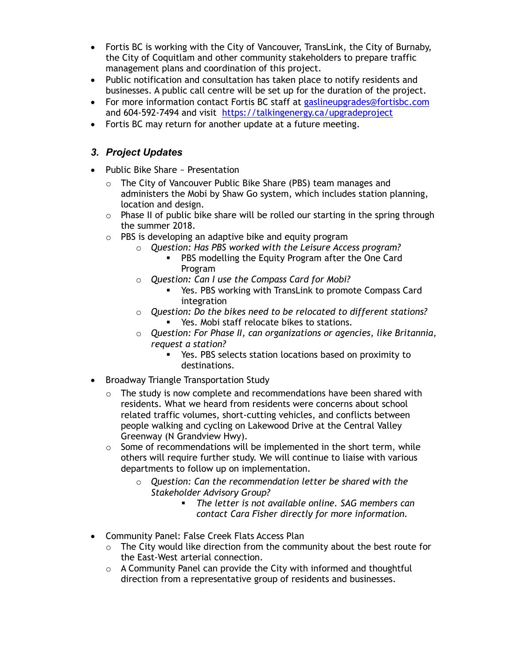- Fortis BC is working with the City of Vancouver, TransLink, the City of Burnaby, the City of Coquitlam and other community stakeholders to prepare traffic management plans and coordination of this project.
- Public notification and consultation has taken place to notify residents and businesses. A public call centre will be set up for the duration of the project.
- For more information contact Fortis BC staff at [gaslineupgrades@fortisbc.com](mailto:gaslineupgrades@fortisbc.com) and 604-592-7494 and visit <https://talkingenergy.ca/upgradeproject>
- Fortis BC may return for another update at a future meeting.

# *3. Project Updates*

- Public Bike Share ~ Presentation
	- o The City of Vancouver Public Bike Share (PBS) team manages and administers the Mobi by Shaw Go system, which includes station planning, location and design.
	- $\circ$  Phase II of public bike share will be rolled our starting in the spring through the summer 2018.
	- $\circ$  PBS is developing an adaptive bike and equity program
		- o *Question: Has PBS worked with the Leisure Access program?*
			- **PBS modelling the Equity Program after the One Card** Program
		- o *Question: Can I use the Compass Card for Mobi?*
			- Yes. PBS working with TransLink to promote Compass Card integration
		- o *Question: Do the bikes need to be relocated to different stations?* 
			- Yes. Mobi staff relocate bikes to stations.
		- o *Question: For Phase II, can organizations or agencies, like Britannia, request a station?*
			- Yes. PBS selects station locations based on proximity to destinations.
- Broadway Triangle Transportation Study
	- $\circ$  The study is now complete and recommendations have been shared with residents. What we heard from residents were concerns about school related traffic volumes, short-cutting vehicles, and conflicts between people walking and cycling on Lakewood Drive at the Central Valley Greenway (N Grandview Hwy).
	- $\circ$  Some of recommendations will be implemented in the short term, while others will require further study. We will continue to liaise with various departments to follow up on implementation.
		- o *Question: Can the recommendation letter be shared with the Stakeholder Advisory Group?*
			- *The letter is not available online. SAG members can contact Cara Fisher directly for more information.*
- Community Panel: False Creek Flats Access Plan
	- $\circ$  The City would like direction from the community about the best route for the East-West arterial connection.
	- o A Community Panel can provide the City with informed and thoughtful direction from a representative group of residents and businesses.